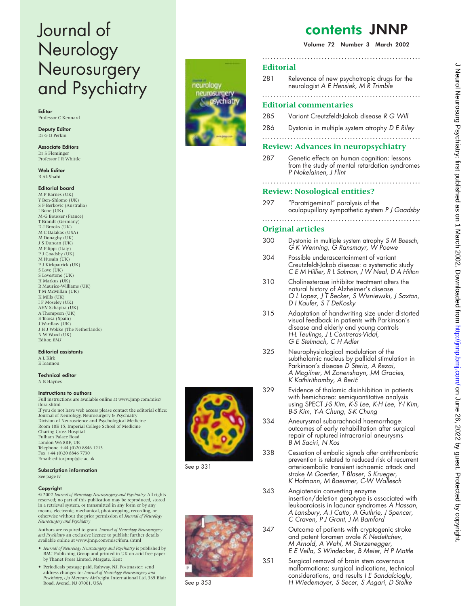# Journal of Neurology Neurosurgery and Psychiatry

Editor Professor C Kennard

Deputy Editor Dr G D Perkin

Associate Editors Dr S Fleminger Professor I R Whittle

Web Editor R Al-Shahi

# Editorial board

M P Barnes (UK) Y Ben-Shlomo (UK) S F Berkovic (Australia) I Bone (UK) M-G Bousser (France) T Brandt (Germany) D J Brooks (UK) M C Dalakas (USA) M Donaghy (UK) J S Duncan (UK) M Filippi (Italy) P J Goadsby (UK) M Husain (UK) P J Kirkpatrick (UK) S Love (UK) S Lovestone (UK) H Markus (UK) R Maurice-Williams (UK) T M McMillan (UK) K Mills (UK) I F Moseley (UK) AHV Schapira (UK) A Thompson (UK) E Tolosa (Spain) J Wardlaw (UK) J H J Wokke (The Netherlands) N W Wood (UK) Editor, *BMJ*

#### Editorial assistants

A L Kirk E Ioannou

#### Technical editor

N B Haynes

#### Instructions to authors

Full instructions are available online at www.jnnp.com/misc/ ifora.shtml If you do not have web access please contact the editorial office: Journal of Neurology, Neurosurgery & Psychiatry Division of Neuroscience and Psychological Medicine Room 10E 15, Imperial College School of Medicine Charing Cross Hospital Fulham Palace Road London W6 8RF, UK Telephone +44 (0)20 8846 1213 Fax +44 (0)20 8846 7730 Email: editor.jnnp@ic.ac.uk

# Subscription information

See page iv

#### Copyright

© 2002 *Journal of Neurology Neurosurgery and Psychiatry.* All rights reserved; no part of this publication may be reproduced, stored in a retrieval system, or transmitted in any form or by any means, electronic, mechanical, photocopying, recording, or otherwise without the prior permission of *Journal of Neurology Neurosurgery and Psychiatry*

Authors are required to grant *Journal of Neurology Neurosurgery and Psychiatry* an exclusive licence to publish; further details available online at www.jnnp.com/misc/ifora.shtml

- *Journal of Neurology Neurosurgery and Psychiatry* is published by BMJ Publishing Group and printed in UK on acid free paper by Thanet Press Limted, Margate, Kent
- Periodicals postage paid, Rahway, NJ. Postmaster: send address changes to: *Journal of Neurology Neurosurgery and Psychiatry*, c/o Mercury Airfreight International Ltd, 365 Blair Road, Avenel, NJ 07001, USA



See p 331



See p 353

# contents JNNP

Volume 72 Number 3 March 2002

# **Editorial**

281 Relevance of new psychotropic drugs for the neurologist A E Hensiek, M R Trimble

**........................................................**

# **Editorial commentaries**

- 285 Variant Creutzfeldt-Jakob disease R G Will
- 286 Dystonia in multiple system atrophy D E Riley **........................................................**

# **Review: Advances in neuropsychiatry**

287 Genetic effects on human cognition: lessons from the study of mental retardation syndromes P Nokelainen, J Flint

### **........................................................ Review: Nosological entities?**

297 "Paratrigeminal" paralysis of the oculopupillary sympathetic system <sup>P</sup> J Goadsby **........................................................**

# **Original articles**

- 300 Dystonia in multiple system atrophy S M Boesch, G K Wenning, G Ransmayr, W Poewe
- 304 Possible underascertainment of variant Creutzfeldt-Jakob disease: a systematic study C E M Hillier, R L Salmon, J W Neal, D A Hilton
- 310 Cholinesterase inhibitor treatment alters the natural history of Alzheimer's disease O <sup>L</sup> Lopez, J <sup>T</sup> Becker, S Wisniewski, J Saxton, <sup>D</sup> <sup>I</sup> Kaufer, S <sup>T</sup> DeKosky
- 315 Adaptation of handwriting size under distorted visual feedback in patients with Parkinson's disease and elderly and young controls H-L Teulings, J L Contreras-Vidal, G E Stelmach, C H Adler
- 325 Neurophysiological modulation of the subthalamic nucleus by pallidal stimulation in Parkinson's disease D<sup>'</sup>Sterio, A Rezai, A Mogilner, M Zonenshayn, J-M Gracies, <sup>K</sup> Kathirithamby, A Beric´
- 329 Evidence of thalamic disinhibition in patients with hemichorea: semiquantitative analysis using SPECT J-S Kim, K-S Lee, K-H Lee, Y-I Kim, B-S Kim, Y-A Chung, S-K Chung
- 334 Aneurysmal subarachnoid haemorrhage: outcomes of early rehabilitation after surgical repair of ruptured intracranial aneurysms B M Saciri, N Kos
- 338 Cessation of embolic signals after antithrombotic prevention is related to reduced risk of recurrent arterioembolic transient ischaemic attack and stroke M Goertler, <sup>T</sup> Blaser, S Krueger, K Hofmann, M Baeumer, C-W Wallesch
- 343 Angiotensin converting enzyme insertion/deletion genotype is associated with leukoaraiosis in lacunar syndromes A Hassan, A Lansbury, A J Catto, A Guthrie, J Spencer, C Craven, P J Grant, J M Bamford
- 347 Outcome of patients with cryptogenic stroke and patent foramen ovale K Nedeltchev, M Arnold, A Wahl, M Sturzenegger, E E Vella, S Windecker, B Meier, H P Mattle
- 351 Surgical removal of brain stem cavernous malformations: surgical indications, technical considerations, and results <sup>I</sup> <sup>E</sup> Sandalcioglu, <sup>H</sup> Wiedemayer, S Secer, S Asgari, <sup>D</sup> Stolke

neurology neurosurger pychiat